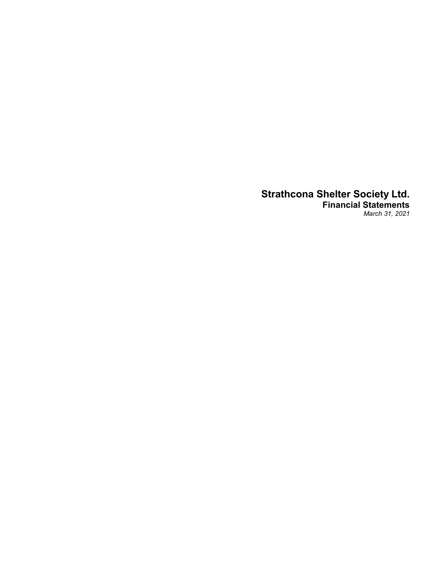## **Strathcona Shelter Society Ltd. Financial Statements** *March 31, 2021*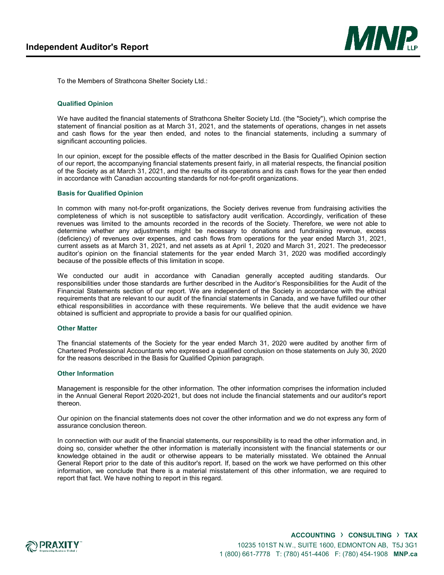

To the Members of Strathcona Shelter Society Ltd.:

#### **Qualified Opinion**

We have audited the financial statements of Strathcona Shelter Society Ltd. (the "Society"), which comprise the statement of financial position as at March 31, 2021, and the statements of operations, changes in net assets and cash flows for the year then ended, and notes to the financial statements, including a summary of significant accounting policies.

In our opinion, except for the possible effects of the matter described in the Basis for Qualified Opinion section of our report, the accompanying financial statements present fairly, in all material respects, the financial position of the Society as at March 31, 2021, and the results of its operations and its cash flows for the year then ended in accordance with Canadian accounting standards for not-for-profit organizations.

#### **Basis for Qualified Opinion**

In common with many not-for-profit organizations, the Society derives revenue from fundraising activities the completeness of which is not susceptible to satisfactory audit verification. Accordingly, verification of these revenues was limited to the amounts recorded in the records of the Society. Therefore, we were not able to determine whether any adjustments might be necessary to donations and fundraising revenue, excess (deficiency) of revenues over expenses, and cash flows from operations for the year ended March 31, 2021, current assets as at March 31, 2021, and net assets as at April 1, 2020 and March 31, 2021. The predecessor auditor's opinion on the financial statements for the year ended March 31, 2020 was modified accordingly because of the possible effects of this limitation in scope.

We conducted our audit in accordance with Canadian generally accepted auditing standards. Our responsibilities under those standards are further described in the Auditor's Responsibilities for the Audit of the Financial Statements section of our report. We are independent of the Society in accordance with the ethical requirements that are relevant to our audit of the financial statements in Canada, and we have fulfilled our other ethical responsibilities in accordance with these requirements. We believe that the audit evidence we have obtained is sufficient and appropriate to provide a basis for our qualified opinion.

#### **Other Matter**

The financial statements of the Society for the year ended March 31, 2020 were audited by another firm of Chartered Professional Accountants who expressed a qualified conclusion on those statements on July 30, 2020 for the reasons described in the Basis for Qualified Opinion paragraph.

#### **Other Information**

Management is responsible for the other information. The other information comprises the information included in the Annual General Report 2020-2021, but does not include the financial statements and our auditor's report thereon.

Our opinion on the financial statements does not cover the other information and we do not express any form of assurance conclusion thereon.

In connection with our audit of the financial statements, our responsibility is to read the other information and, in doing so, consider whether the other information is materially inconsistent with the financial statements or our knowledge obtained in the audit or otherwise appears to be materially misstated. We obtained the Annual General Report prior to the date of this auditor's report. If, based on the work we have performed on this other information, we conclude that there is a material misstatement of this other information, we are required to report that fact. We have nothing to report in this regard.

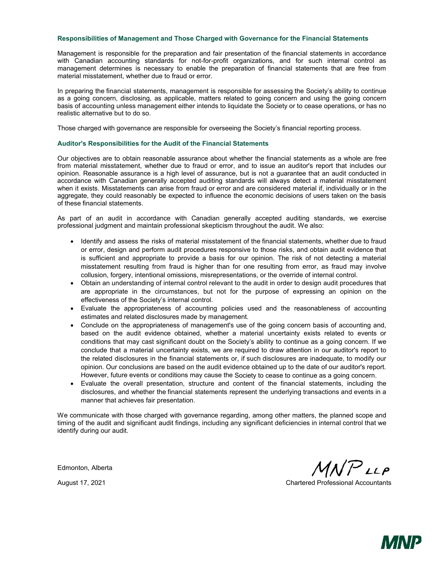#### **Responsibilities of Management and Those Charged with Governance for the Financial Statements**

Management is responsible for the preparation and fair presentation of the financial statements in accordance with Canadian accounting standards for not-for-profit organizations, and for such internal control as management determines is necessary to enable the preparation of financial statements that are free from material misstatement, whether due to fraud or error.

In preparing the financial statements, management is responsible for assessing the Society's ability to continue as a going concern, disclosing, as applicable, matters related to going concern and using the going concern basis of accounting unless management either intends to liquidate the Society or to cease operations, or has no realistic alternative but to do so.

Those charged with governance are responsible for overseeing the Society's financial reporting process.

#### **Auditor's Responsibilities for the Audit of the Financial Statements**

Our objectives are to obtain reasonable assurance about whether the financial statements as a whole are free from material misstatement, whether due to fraud or error, and to issue an auditor's report that includes our opinion. Reasonable assurance is a high level of assurance, but is not a guarantee that an audit conducted in accordance with Canadian generally accepted auditing standards will always detect a material misstatement when it exists. Misstatements can arise from fraud or error and are considered material if, individually or in the aggregate, they could reasonably be expected to influence the economic decisions of users taken on the basis of these financial statements.

As part of an audit in accordance with Canadian generally accepted auditing standards, we exercise professional judgment and maintain professional skepticism throughout the audit. We also:

- Identify and assess the risks of material misstatement of the financial statements, whether due to fraud or error, design and perform audit procedures responsive to those risks, and obtain audit evidence that is sufficient and appropriate to provide a basis for our opinion. The risk of not detecting a material misstatement resulting from fraud is higher than for one resulting from error, as fraud may involve collusion, forgery, intentional omissions, misrepresentations, or the override of internal control.
- Obtain an understanding of internal control relevant to the audit in order to design audit procedures that are appropriate in the circumstances, but not for the purpose of expressing an opinion on the effectiveness of the Society's internal control.
- Evaluate the appropriateness of accounting policies used and the reasonableness of accounting estimates and related disclosures made by management.
- Conclude on the appropriateness of management's use of the going concern basis of accounting and, based on the audit evidence obtained, whether a material uncertainty exists related to events or conditions that may cast significant doubt on the Society's ability to continue as a going concern. If we conclude that a material uncertainty exists, we are required to draw attention in our auditor's report to the related disclosures in the financial statements or, if such disclosures are inadequate, to modify our opinion. Our conclusions are based on the audit evidence obtained up to the date of our auditor's report. However, future events or conditions may cause the Society to cease to continue as a going concern.
- Evaluate the overall presentation, structure and content of the financial statements, including the disclosures, and whether the financial statements represent the underlying transactions and events in a manner that achieves fair presentation.

We communicate with those charged with governance regarding, among other matters, the planned scope and timing of the audit and significant audit findings, including any significant deficiencies in internal control that we identify during our audit.

Edmonton, Alberta

 $MNP$ LLP

August 17, 2021 Chartered Professional Accountants

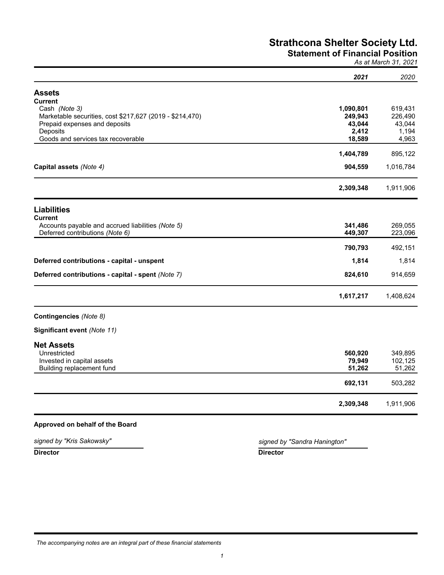## **Statement of Financial Position**

*As at March 31, 2021*

|                                                          | 2021      | 2020      |
|----------------------------------------------------------|-----------|-----------|
| <b>Assets</b>                                            |           |           |
| <b>Current</b>                                           |           |           |
| Cash (Note 3)                                            | 1,090,801 | 619,431   |
| Marketable securities, cost \$217,627 (2019 - \$214,470) | 249,943   | 226,490   |
| Prepaid expenses and deposits                            | 43,044    | 43,044    |
| Deposits                                                 | 2,412     | 1,194     |
| Goods and services tax recoverable                       | 18,589    | 4,963     |
|                                                          | 1,404,789 | 895,122   |
| Capital assets (Note 4)                                  | 904,559   | 1,016,784 |
|                                                          | 2,309,348 | 1,911,906 |
| <b>Liabilities</b>                                       |           |           |
| <b>Current</b>                                           |           |           |
| Accounts payable and accrued liabilities (Note 5)        | 341,486   | 269,055   |
| Deferred contributions (Note 6)                          | 449,307   | 223,096   |
|                                                          | 790,793   | 492,151   |
| Deferred contributions - capital - unspent               | 1,814     | 1,814     |
| Deferred contributions - capital - spent (Note 7)        | 824,610   | 914,659   |
|                                                          | 1,617,217 | 1,408,624 |
| Contingencies (Note 8)                                   |           |           |
| Significant event (Note 11)                              |           |           |
| <b>Net Assets</b>                                        |           |           |
| Unrestricted                                             | 560,920   | 349,895   |
| Invested in capital assets                               | 79,949    | 102,125   |
| Building replacement fund                                | 51,262    | 51,262    |
|                                                          | 692,131   | 503,282   |
|                                                          | 2,309,348 | 1,911,906 |

## **Approved on behalf of the Board**

*signed by "Kris Sakowsky"* 

**Director Director**

*signed by "Sandra Hanington"*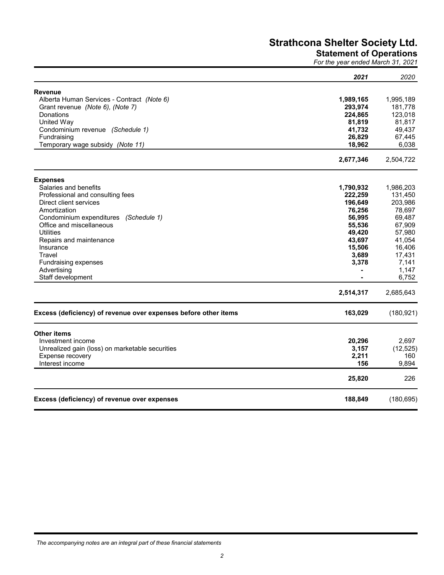## **Statement of Operations**

*For the year ended March 31, 2021*

| 2021                                                                       | 2020       |
|----------------------------------------------------------------------------|------------|
| <b>Revenue</b>                                                             |            |
| Alberta Human Services - Contract (Note 6)<br>1,989,165                    | 1,995,189  |
| Grant revenue (Note 6), (Note 7)<br>293,974                                | 181,778    |
| 224,865<br>Donations                                                       | 123,018    |
| United Way<br>81,819                                                       | 81,817     |
| Condominium revenue (Schedule 1)<br>41,732                                 | 49,437     |
| 26,829<br>Fundraising                                                      | 67,445     |
| Temporary wage subsidy (Note 11)<br>18,962                                 | 6,038      |
| 2,677,346                                                                  | 2,504,722  |
| <b>Expenses</b>                                                            |            |
| Salaries and benefits<br>1,790,932                                         | 1,986,203  |
| 222,259<br>Professional and consulting fees                                | 131,450    |
| 196,649<br>Direct client services                                          | 203,986    |
| 76,256<br>Amortization                                                     | 78,697     |
| 56,995<br>Condominium expenditures<br>(Schedule 1)                         | 69,487     |
| Office and miscellaneous<br>55,536                                         | 67,909     |
| <b>Utilities</b><br>49,420                                                 | 57,980     |
| 43,697<br>Repairs and maintenance                                          | 41.054     |
| 15,506<br>Insurance                                                        | 16,406     |
| Travel<br>3,689                                                            | 17,431     |
| 3,378<br>Fundraising expenses                                              | 7,141      |
| Advertising                                                                | 1,147      |
| Staff development                                                          | 6,752      |
|                                                                            |            |
| 2,514,317                                                                  | 2,685,643  |
| 163,029<br>Excess (deficiency) of revenue over expenses before other items | (180, 921) |
| <b>Other items</b>                                                         |            |
| 20,296<br>Investment income                                                | 2,697      |
| 3,157<br>Unrealized gain (loss) on marketable securities                   | (12, 525)  |
| 2,211<br>Expense recovery                                                  | 160        |
| Interest income<br>156                                                     | 9,894      |
| 25,820                                                                     | 226        |
| Excess (deficiency) of revenue over expenses<br>188,849                    | (180, 695) |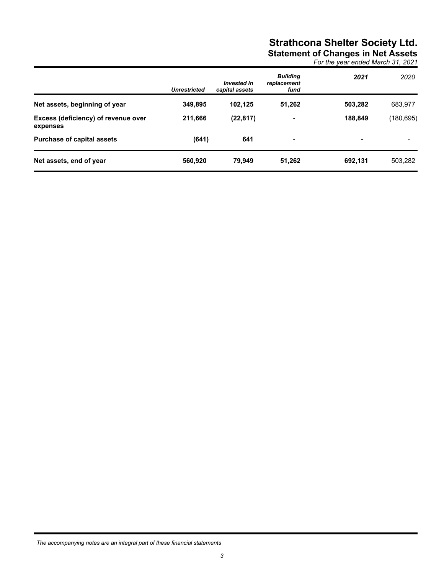## **Strathcona Shelter Society Ltd. Statement of Changes in Net Assets**

*For the year ended March 31, 2021*

|                                                 | <b>Unrestricted</b> | <b>Invested in</b><br>capital assets | <b>Building</b><br>replacement<br>fund | 2021    | 2020       |
|-------------------------------------------------|---------------------|--------------------------------------|----------------------------------------|---------|------------|
| Net assets, beginning of year                   | 349,895             | 102,125                              | 51,262                                 | 503,282 | 683,977    |
| Excess (deficiency) of revenue over<br>expenses | 211,666             | (22, 817)                            | ۰                                      | 188.849 | (180, 695) |
| <b>Purchase of capital assets</b>               | (641)               | 641                                  | ٠                                      |         |            |
| Net assets, end of year                         | 560,920             | 79,949                               | 51,262                                 | 692,131 | 503,282    |

*The accompanying notes are an integral part of these financial statements*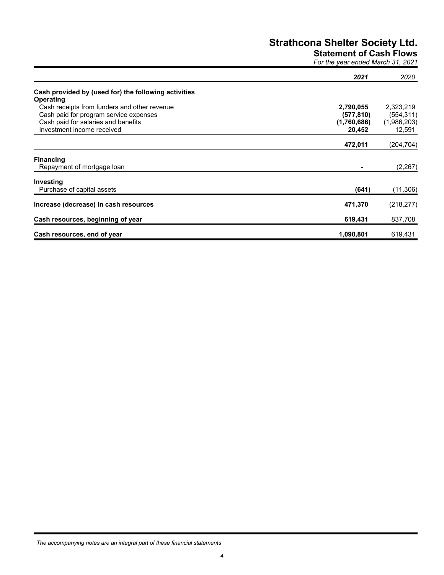**Statement of Cash Flows**

*For the year ended March 31, 2021*

|                                                      | 2021        | 2020        |
|------------------------------------------------------|-------------|-------------|
| Cash provided by (used for) the following activities |             |             |
| Operating                                            |             |             |
| Cash receipts from funders and other revenue         | 2,790,055   | 2,323,219   |
| Cash paid for program service expenses               | (577, 810)  | (554, 311)  |
| Cash paid for salaries and benefits                  | (1,760,686) | (1,986,203) |
| Investment income received                           | 20,452      | 12,591      |
|                                                      | 472,011     | (204, 704)  |
| <b>Financing</b>                                     |             |             |
| Repayment of mortgage loan                           |             | (2, 267)    |
| Investing                                            |             |             |
| Purchase of capital assets                           | (641)       | (11, 306)   |
| Increase (decrease) in cash resources                | 471,370     | (218, 277)  |
| Cash resources, beginning of year                    | 619,431     | 837,708     |
| Cash resources, end of year                          | 1,090,801   | 619,431     |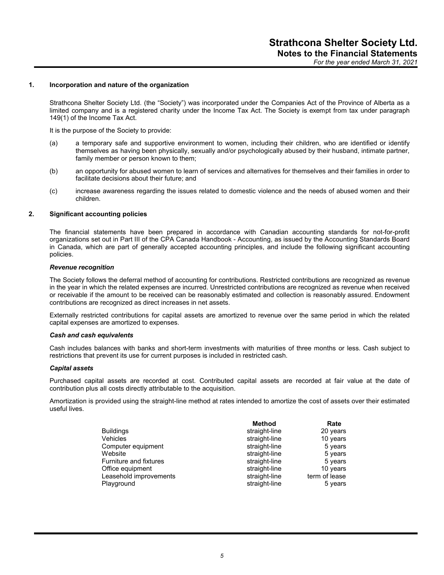#### **1. Incorporation and nature of the organization**

Strathcona Shelter Society Ltd. (the "Society") was incorporated under the Companies Act of the Province of Alberta as a limited company and is a registered charity under the Income Tax Act. The Society is exempt from tax under paragraph 149(1) of the Income Tax Act.

It is the purpose of the Society to provide:

- (a) a temporary safe and supportive environment to women, including their children, who are identified or identify themselves as having been physically, sexually and/or psychologically abused by their husband, intimate partner, family member or person known to them;
- (b) an opportunity for abused women to learn of services and alternatives for themselves and their families in order to facilitate decisions about their future; and
- (c) increase awareness regarding the issues related to domestic violence and the needs of abused women and their children.

#### **2. Significant accounting policies**

The financial statements have been prepared in accordance with Canadian accounting standards for not-for-profit organizations set out in Part III of the CPA Canada Handbook - Accounting, as issued by the Accounting Standards Board in Canada, which are part of generally accepted accounting principles, and include the following significant accounting policies.

#### *Revenue recognition*

The Society follows the deferral method of accounting for contributions. Restricted contributions are recognized as revenue in the year in which the related expenses are incurred. Unrestricted contributions are recognized as revenue when received or receivable if the amount to be received can be reasonably estimated and collection is reasonably assured. Endowment contributions are recognized as direct increases in net assets.

Externally restricted contributions for capital assets are amortized to revenue over the same period in which the related capital expenses are amortized to expenses.

#### *Cash and cash equivalents*

Cash includes balances with banks and short-term investments with maturities of three months or less. Cash subject to restrictions that prevent its use for current purposes is included in restricted cash.

#### *Capital assets*

Purchased capital assets are recorded at cost. Contributed capital assets are recorded at fair value at the date of contribution plus all costs directly attributable to the acquisition.

Amortization is provided using the straight-line method at rates intended to amortize the cost of assets over their estimated useful lives.

|                        | Method        | Rate          |
|------------------------|---------------|---------------|
| <b>Buildings</b>       | straight-line | 20 years      |
| <b>Vehicles</b>        | straight-line | 10 years      |
| Computer equipment     | straight-line | 5 years       |
| Website                | straight-line | 5 years       |
| Furniture and fixtures | straight-line | 5 years       |
| Office equipment       | straight-line | 10 years      |
| Leasehold improvements | straight-line | term of lease |
| Playground             | straight-line | 5 years       |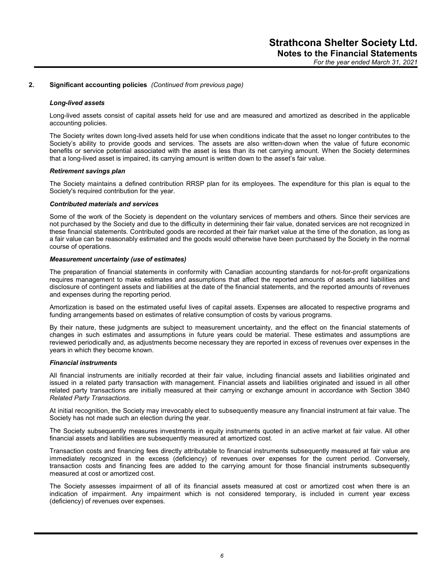#### **2. Significant accounting policies** *(Continued from previous page)*

#### *Long-lived assets*

Long-lived assets consist of capital assets held for use and are measured and amortized as described in the applicable accounting policies.

The Society writes down long-lived assets held for use when conditions indicate that the asset no longer contributes to the Society's ability to provide goods and services. The assets are also written-down when the value of future economic benefits or service potential associated with the asset is less than its net carrying amount. When the Society determines that a long-lived asset is impaired, its carrying amount is written down to the asset's fair value.

#### *Retirement savings plan*

The Society maintains a defined contribution RRSP plan for its employees. The expenditure for this plan is equal to the Society's required contribution for the year.

#### *Contributed materials and services*

Some of the work of the Society is dependent on the voluntary services of members and others. Since their services are not purchased by the Society and due to the difficulty in determining their fair value, donated services are not recognized in these financial statements. Contributed goods are recorded at their fair market value at the time of the donation, as long as a fair value can be reasonably estimated and the goods would otherwise have been purchased by the Society in the normal course of operations.

#### *Measurement uncertainty (use of estimates)*

The preparation of financial statements in conformity with Canadian accounting standards for not-for-profit organizations requires management to make estimates and assumptions that affect the reported amounts of assets and liabilities and disclosure of contingent assets and liabilities at the date of the financial statements, and the reported amounts of revenues and expenses during the reporting period.

Amortization is based on the estimated useful lives of capital assets. Expenses are allocated to respective programs and funding arrangements based on estimates of relative consumption of costs by various programs.

By their nature, these judgments are subject to measurement uncertainty, and the effect on the financial statements of changes in such estimates and assumptions in future years could be material. These estimates and assumptions are reviewed periodically and, as adjustments become necessary they are reported in excess of revenues over expenses in the years in which they become known.

#### *Financial instruments*

All financial instruments are initially recorded at their fair value, including financial assets and liabilities originated and issued in a related party transaction with management. Financial assets and liabilities originated and issued in all other related party transactions are initially measured at their carrying or exchange amount in accordance with Section 3840 *Related Party Transactions*.

At initial recognition, the Society may irrevocably elect to subsequently measure any financial instrument at fair value. The Society has not made such an election during the year.

The Society subsequently measures investments in equity instruments quoted in an active market at fair value. All other financial assets and liabilities are subsequently measured at amortized cost.

Transaction costs and financing fees directly attributable to financial instruments subsequently measured at fair value are immediately recognized in the excess (deficiency) of revenues over expenses for the current period. Conversely, transaction costs and financing fees are added to the carrying amount for those financial instruments subsequently measured at cost or amortized cost.

The Society assesses impairment of all of its financial assets measured at cost or amortized cost when there is an indication of impairment. Any impairment which is not considered temporary, is included in current year excess (deficiency) of revenues over expenses.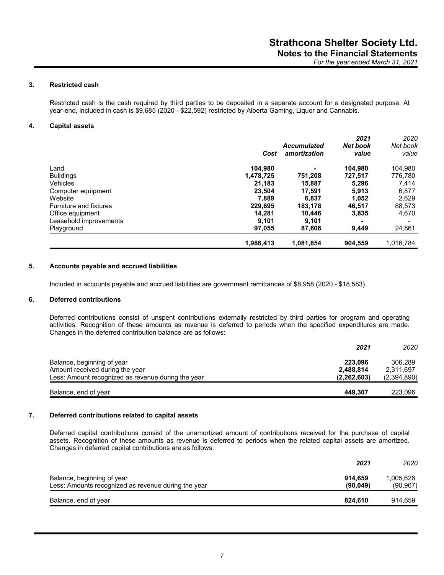#### **3. Restricted cash**

Restricted cash is the cash required by third parties to be deposited in a separate account for a designated purpose. At year-end, included in cash is \$9,685 (2020 - \$22,592) restricted by Alberta Gaming, Liquor and Cannabis.

#### **4. Capital assets**

|                        | Cost      | <b>Accumulated</b><br>amortization | 2021<br><b>Net book</b><br>value | 2020<br>Net book<br>value |
|------------------------|-----------|------------------------------------|----------------------------------|---------------------------|
| Land                   | 104,980   |                                    | 104.980                          | 104,980                   |
| <b>Buildings</b>       | 1.478.725 | 751,208                            | 727.517                          | 776.780                   |
| Vehicles               | 21.183    | 15,887                             | 5,296                            | 7.414                     |
| Computer equipment     | 23.504    | 17.591                             | 5.913                            | 6,877                     |
| Website                | 7.889     | 6,837                              | 1,052                            | 2,629                     |
| Furniture and fixtures | 229,695   | 183.178                            | 46.517                           | 88,573                    |
| Office equipment       | 14.281    | 10.446                             | 3,835                            | 4,670                     |
| Leasehold improvements | 9,101     | 9,101                              |                                  |                           |
| Playground             | 97,055    | 87,606                             | 9,449                            | 24,861                    |
|                        | 1,986,413 | 1,081,854                          | 904.559                          | 1.016.784                 |

#### **5. Accounts payable and accrued liabilities**

Included in accounts payable and accrued liabilities are government remittances of \$8,958 (2020 - \$18,583).

#### **6. Deferred contributions**

Deferred contributions consist of unspent contributions externally restricted by third parties for program and operating activities. Recognition of these amounts as revenue is deferred to periods when the specified expenditures are made. Changes in the deferred contribution balance are as follows:

|                                                    | 2021          | 2020        |
|----------------------------------------------------|---------------|-------------|
| Balance, beginning of year                         | 223,096       | 306.289     |
| Amount received during the year                    | 2,488,814     | 2,311,697   |
| Less: Amount recognized as revenue during the year | (2, 262, 603) | (2,394,890) |
|                                                    |               |             |
| Balance, end of year                               | 449.307       | 223.096     |

#### **7. Deferred contributions related to capital assets**

Deferred capital contributions consist of the unamortized amount of contributions received for the purchase of capital assets. Recognition of these amounts as revenue is deferred to periods when the related capital assets are amortized. Changes in deferred capital contributions are as follows:

|                                                                                   | 2021                | 2020                   |
|-----------------------------------------------------------------------------------|---------------------|------------------------|
| Balance, beginning of year<br>Less: Amounts recognized as revenue during the year | 914.659<br>(90.049) | 1,005,626<br>(90, 967) |
| Balance, end of year                                                              | 824.610             | 914,659                |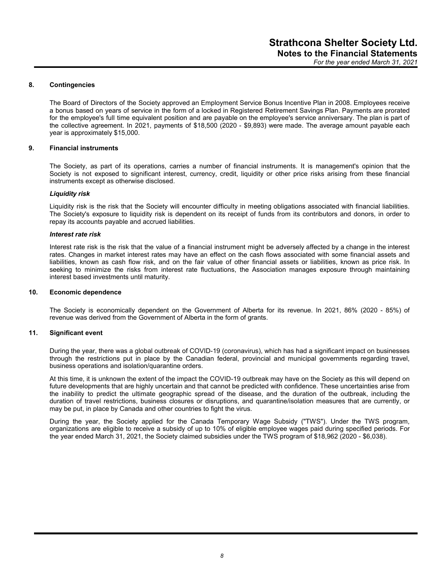### **8. Contingencies**

The Board of Directors of the Society approved an Employment Service Bonus Incentive Plan in 2008. Employees receive a bonus based on years of service in the form of a locked in Registered Retirement Savings Plan. Payments are prorated for the employee's full time equivalent position and are payable on the employee's service anniversary. The plan is part of the collective agreement. In 2021, payments of \$18,500 (2020 - \$9,893) were made. The average amount payable each year is approximately \$15,000.

### **9. Financial instruments**

The Society, as part of its operations, carries a number of financial instruments. It is management's opinion that the Society is not exposed to significant interest, currency, credit, liquidity or other price risks arising from these financial instruments except as otherwise disclosed.

### *Liquidity risk*

Liquidity risk is the risk that the Society will encounter difficulty in meeting obligations associated with financial liabilities. The Society's exposure to liquidity risk is dependent on its receipt of funds from its contributors and donors, in order to repay its accounts payable and accrued liabilities.

### *Interest rate risk*

Interest rate risk is the risk that the value of a financial instrument might be adversely affected by a change in the interest rates. Changes in market interest rates may have an effect on the cash flows associated with some financial assets and liabilities, known as cash flow risk, and on the fair value of other financial assets or liabilities, known as price risk. In seeking to minimize the risks from interest rate fluctuations, the Association manages exposure through maintaining interest based investments until maturity.

### **10. Economic dependence**

The Society is economically dependent on the Government of Alberta for its revenue. In 2021, 86% (2020 - 85%) of revenue was derived from the Government of Alberta in the form of grants.

## **11. Significant event**

During the year, there was a global outbreak of COVID-19 (coronavirus), which has had a significant impact on businesses through the restrictions put in place by the Canadian federal, provincial and municipal governments regarding travel, business operations and isolation/quarantine orders.

At this time, it is unknown the extent of the impact the COVID-19 outbreak may have on the Society as this will depend on future developments that are highly uncertain and that cannot be predicted with confidence. These uncertainties arise from the inability to predict the ultimate geographic spread of the disease, and the duration of the outbreak, including the duration of travel restrictions, business closures or disruptions, and quarantine/isolation measures that are currently, or may be put, in place by Canada and other countries to fight the virus.

During the year, the Society applied for the Canada Temporary Wage Subsidy ("TWS"). Under the TWS program, organizations are eligible to receive a subsidy of up to 10% of eligible employee wages paid during specified periods. For the year ended March 31, 2021, the Society claimed subsidies under the TWS program of \$18,962 (2020 - \$6,038).